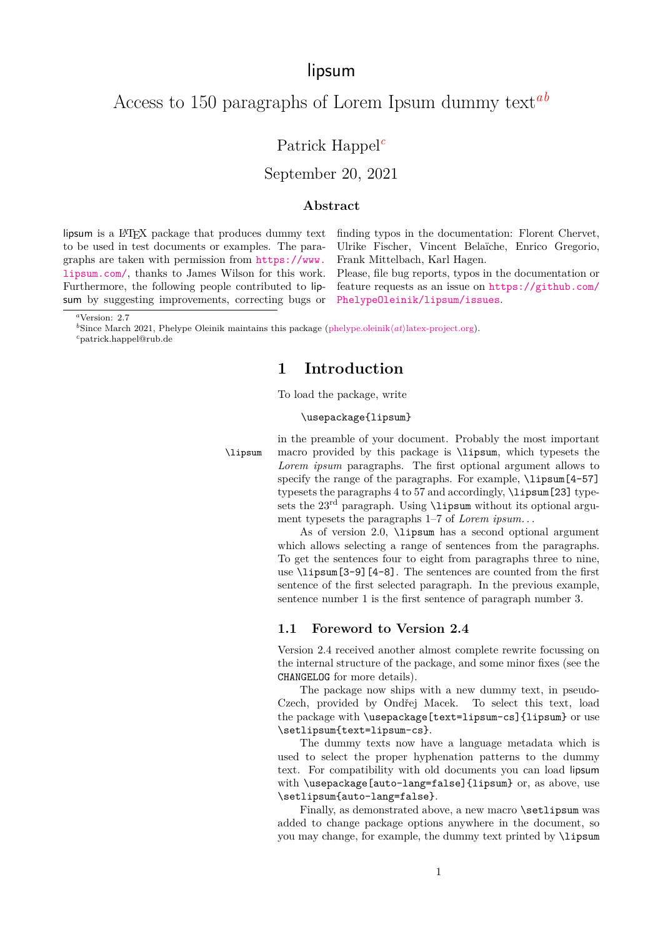# lipsum

# Access to 150 paragraphs of Lorem Ipsum dummy text*[a](#page-0-0)[b](#page-0-1)*

## Patrick Happel*[c](#page-0-2)*

September 20, 2021

#### **Abstract**

lipsum is a L<sup>AT</sup>EX package that produces dummy text to be used in test documents or examples. The paragraphs are taken with permission from [https://www.](https://www.lipsum.com/) [lipsum.com/](https://www.lipsum.com/), thanks to James Wilson for this work. Furthermore, the following people contributed to lipsum by suggesting improvements, correcting bugs or finding typos in the documentation: Florent Chervet, Ulrike Fischer, Vincent Belaïche, Enrico Gregorio, Frank Mittelbach, Karl Hagen.

Please, file bug reports, typos in the documentation or feature requests as an issue on [https://github.com/](https://github.com/PhelypeOleinik/lipsum/issues) [PhelypeOleinik/lipsum/issues](https://github.com/PhelypeOleinik/lipsum/issues).

<span id="page-0-1"></span>*b*Since March 2021, Phelype Oleinik maintains this package (phelype.oleinik(*at*)[latex-project.org\)](mailto:phelype.oleinik@latex-project.org).

<span id="page-0-2"></span>*<sup>c</sup>*patrick.happel@rub.de

## **1 Introduction**

To load the package, write

#### \usepackage{lipsum}

in the preamble of your document. Probably the most important \lipsum macro provided by this package is \lipsum, which typesets the *Lorem ipsum* paragraphs. The first optional argument allows to specify the range of the paragraphs. For example, *\lipsum*[4-57] typesets the paragraphs 4 to 57 and accordingly, \lipsum[23] typesets the 23<sup>rd</sup> paragraph. Using **\lipsum** without its optional argument typesets the paragraphs 1–7 of *Lorem ipsum. . .*

> As of version 2.0, \lipsum has a second optional argument which allows selecting a range of sentences from the paragraphs. To get the sentences four to eight from paragraphs three to nine, use \lipsum[3-9][4-8]. The sentences are counted from the first sentence of the first selected paragraph. In the previous example, sentence number 1 is the first sentence of paragraph number 3.

### <span id="page-0-3"></span>**1.1 Foreword to Version 2.4**

Version 2.4 received another almost complete rewrite focussing on the internal structure of the package, and some minor fixes (see the CHANGELOG for more details).

The package now ships with a new dummy text, in pseudo-Czech, provided by Ondřej Macek. To select this text, load the package with \usepackage[text=lipsum-cs]{lipsum} or use \setlipsum{text=lipsum-cs}.

The dummy texts now have a language metadata which is used to select the proper hyphenation patterns to the dummy text. For compatibility with old documents you can load lipsum with \usepackage[auto-lang=false]{lipsum} or, as above, use \setlipsum{auto-lang=false}.

Finally, as demonstrated above, a new macro **\setlipsum** was added to change package options anywhere in the document, so you may change, for example, the dummy text printed by \lipsum

<span id="page-0-0"></span>*<sup>a</sup>*Version: 2.7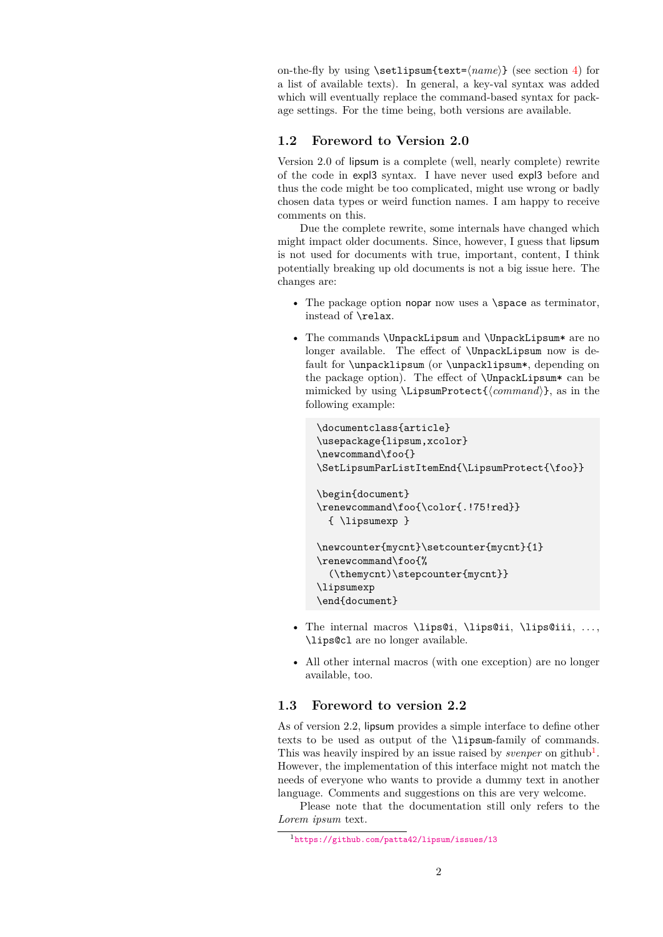on-the-fly by using \setlipsum{text=⟨*name*⟩} (see section [4\)](#page-6-0) for a list of available texts). In general, a key-val syntax was added which will eventually replace the command-based syntax for package settings. For the time being, both versions are available.

### **1.2 Foreword to Version 2.0**

Version 2.0 of lipsum is a complete (well, nearly complete) rewrite of the code in expl3 syntax. I have never used expl3 before and thus the code might be too complicated, might use wrong or badly chosen data types or weird function names. I am happy to receive comments on this.

Due the complete rewrite, some internals have changed which might impact older documents. Since, however, I guess that lipsum is not used for documents with true, important, content, I think potentially breaking up old documents is not a big issue here. The changes are:

- The package option nopar now uses a **\space** as terminator, instead of \relax.
- The commands \UnpackLipsum and \UnpackLipsum\* are no longer available. The effect of \UnpackLipsum now is default for \unpacklipsum (or \unpacklipsum\*, depending on the package option). The effect of \UnpackLipsum\* can be mimicked by using \LipsumProtect{⟨*command*⟩}, as in the following example:

```
\documentclass{article}
\usepackage{lipsum,xcolor}
\newcommand\foo{}
\SetLipsumParListItemEnd{\LipsumProtect{\foo}}
\begin{document}
\renewcommand\foo{\color{.!75!red}}
  { \lipsumexp }
\newcounter{mycnt}\setcounter{mycnt}{1}
\renewcommand\foo{%
  (\themycnt)\stepcounter{mycnt}}
\lipsumexp
\end{document}
```
- The internal macros \lips@i, \lips@ii, \lips@iii, . . . , \lips@cl are no longer available.
- All other internal macros (with one exception) are no longer available, too.

## **1.3 Foreword to version 2.2**

As of version 2.2, lipsum provides a simple interface to define other texts to be used as output of the \lipsum-family of commands. This was heavily inspired by an issue raised by *svenper* on github<sup>[1](#page-1-0)</sup>. However, the implementation of this interface might not match the needs of everyone who wants to provide a dummy text in another language. Comments and suggestions on this are very welcome.

Please note that the documentation still only refers to the *Lorem ipsum* text.

<span id="page-1-0"></span><sup>1</sup><https://github.com/patta42/lipsum/issues/13>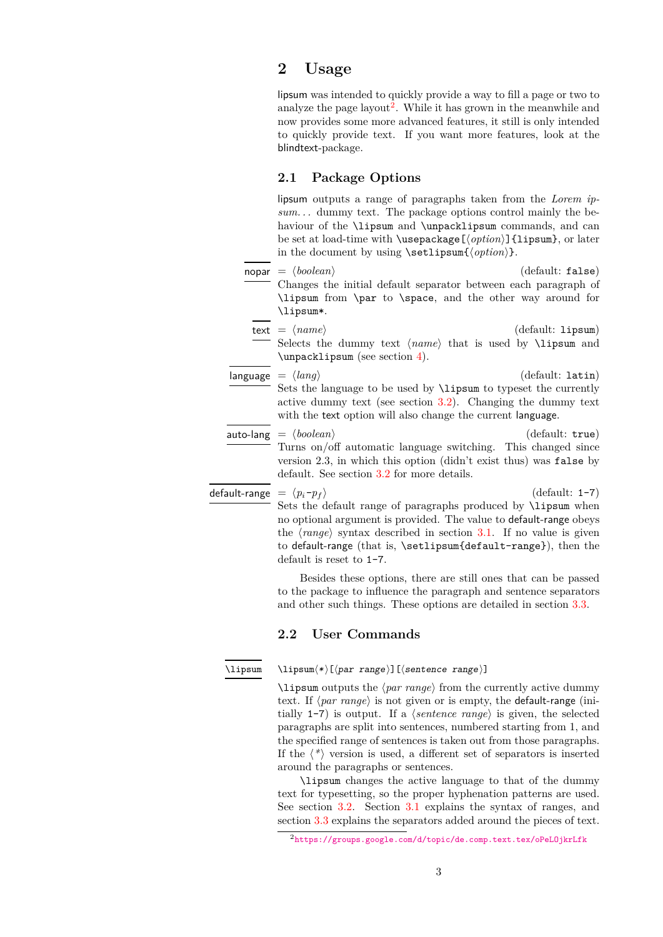## **2 Usage**

lipsum was intended to quickly provide a way to fill a page or two to analyze the page layout<sup>[2](#page-2-0)</sup>. While it has grown in the meanwhile and now provides some more advanced features, it still is only intended to quickly provide text. If you want more features, look at the blindtext-package.

#### <span id="page-2-1"></span>**2.1 Package Options**

lipsum outputs a range of paragraphs taken from the *Lorem ipsum. . .* dummy text. The package options control mainly the behaviour of the \lipsum and \unpacklipsum commands, and can be set at load-time with \usepackage[⟨*option*⟩]{lipsum}, or later in the document by using \setlipsum{⟨*option*⟩}.

- $\mathsf{nopar} = \langle \mathit{boolean} \rangle$  (default: false) Changes the initial default separator between each paragraph of \lipsum from \par to \space, and the other way around for \lipsum\*. text = ⟨*name*⟩ (default: lipsum)
- Selects the dummy text  $\langle name \rangle$  that is used by **\lipsum** and \unpacklipsum (see section [4\)](#page-6-0).
- language = ⟨*lang*⟩ (default: latin) Sets the language to be used by \lipsum to typeset the currently active dummy text (see section [3.2\)](#page-4-0). Changing the dummy text with the text option will also change the current language.
- auto-lang =  $\langle boolean \rangle$  (default: true) Turns on/off automatic language switching. This changed since version 2.3, in which this option (didn't exist thus) was false by default. See section [3.2](#page-4-0) for more details.

default-range  $= \langle p_i - p_f \rangle$  (default: 1-7) Sets the default range of paragraphs produced by **\lipsum** when no optional argument is provided. The value to default-range obeys the ⟨*range*⟩ syntax described in section [3.1.](#page-3-0) If no value is given to default-range (that is, \setlipsum{default-range}), then the default is reset to 1-7.

> Besides these options, there are still ones that can be passed to the package to influence the paragraph and sentence separators and other such things. These options are detailed in section [3.3.](#page-4-1)

#### **2.2 User Commands**

#### <span id="page-2-2"></span>\lipsum

\lipsum⟨\*⟩[⟨par range⟩][⟨sentence range⟩]

\lipsum outputs the ⟨*par range*⟩ from the currently active dummy text. If ⟨*par range*⟩ is not given or is empty, the default-range (initially 1-7) is output. If a ⟨*sentence range*⟩ is given, the selected paragraphs are split into sentences, numbered starting from 1, and the specified range of sentences is taken out from those paragraphs. If the ⟨*\**⟩ version is used, a different set of separators is inserted around the paragraphs or sentences.

\lipsum changes the active language to that of the dummy text for typesetting, so the proper hyphenation patterns are used. See section [3.2.](#page-4-0) Section [3.1](#page-3-0) explains the syntax of ranges, and section [3.3](#page-4-1) explains the separators added around the pieces of text.

<span id="page-2-0"></span><sup>2</sup><https://groups.google.com/d/topic/de.comp.text.tex/oPeLOjkrLfk>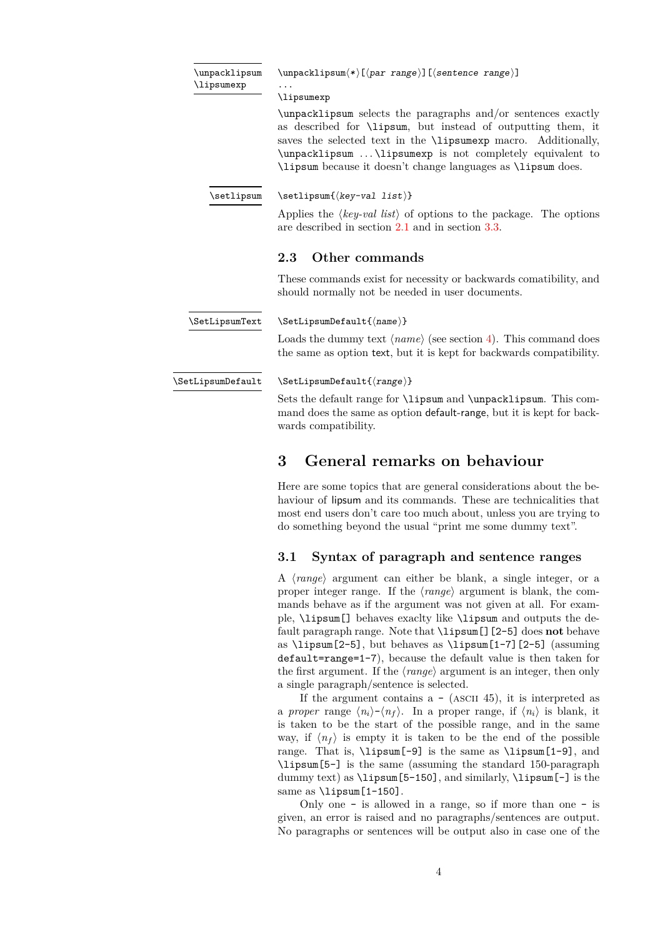<span id="page-3-2"></span>

| \unpacklipsum |
|---------------|
| \lipsumexp    |

\unpacklipsum⟨\*⟩[⟨par range⟩][⟨sentence range⟩]

... \lipsumexp

\unpacklipsum selects the paragraphs and/or sentences exactly as described for \lipsum, but instead of outputting them, it saves the selected text in the **\lipsumexp** macro. Additionally, \unpacklipsum . . . \lipsumexp is not completely equivalent to \lipsum because it doesn't change languages as \lipsum does.

<span id="page-3-4"></span>\setlipsum

\setlipsum{⟨key-val list⟩}

Applies the ⟨*key-val list*⟩ of options to the package. The options are described in section [2.1](#page-2-1) and in section [3.3.](#page-4-1)

#### **2.3 Other commands**

These commands exist for necessity or backwards comatibility, and should normally not be needed in user documents.

<span id="page-3-3"></span>\SetLipsumDefault{⟨name⟩} \SetLipsumText

> Loads the dummy text  $\langle name \rangle$  (see section [4\)](#page-6-0). This command does the same as option text, but it is kept for backwards compatibility.

<span id="page-3-1"></span>\SetLipsumDefault

\SetLipsumDefault{⟨range⟩}

Sets the default range for \lipsum and \unpacklipsum. This command does the same as option default-range, but it is kept for backwards compatibility.

# **3 General remarks on behaviour**

Here are some topics that are general considerations about the behaviour of lipsum and its commands. These are technicalities that most end users don't care too much about, unless you are trying to do something beyond the usual "print me some dummy text".

### <span id="page-3-0"></span>**3.1 Syntax of paragraph and sentence ranges**

A ⟨*range*⟩ argument can either be blank, a single integer, or a proper integer range. If the ⟨*range*⟩ argument is blank, the commands behave as if the argument was not given at all. For example, \lipsum[] behaves exaclty like \lipsum and outputs the default paragraph range. Note that \lipsum[][2-5] does **not** behave as \lipsum[2-5], but behaves as \lipsum[1-7][2-5] (assuming default=range=1-7), because the default value is then taken for the first argument. If the ⟨*range*⟩ argument is an integer, then only a single paragraph/sentence is selected.

If the argument contains  $a - (ASCII 45)$ , it is interpreted as a *proper* range  $\langle n_i \rangle - \langle n_f \rangle$ . In a proper range, if  $\langle n_i \rangle$  is blank, it is taken to be the start of the possible range, and in the same way, if  $\langle n_f \rangle$  is empty it is taken to be the end of the possible range. That is, \lipsum[-9] is the same as \lipsum[1-9], and \lipsum[5-] is the same (assuming the standard 150-paragraph dummy text) as \lipsum[5-150], and similarly, \lipsum[-] is the same as \lipsum[1-150].

Only one - is allowed in a range, so if more than one - is given, an error is raised and no paragraphs/sentences are output. No paragraphs or sentences will be output also in case one of the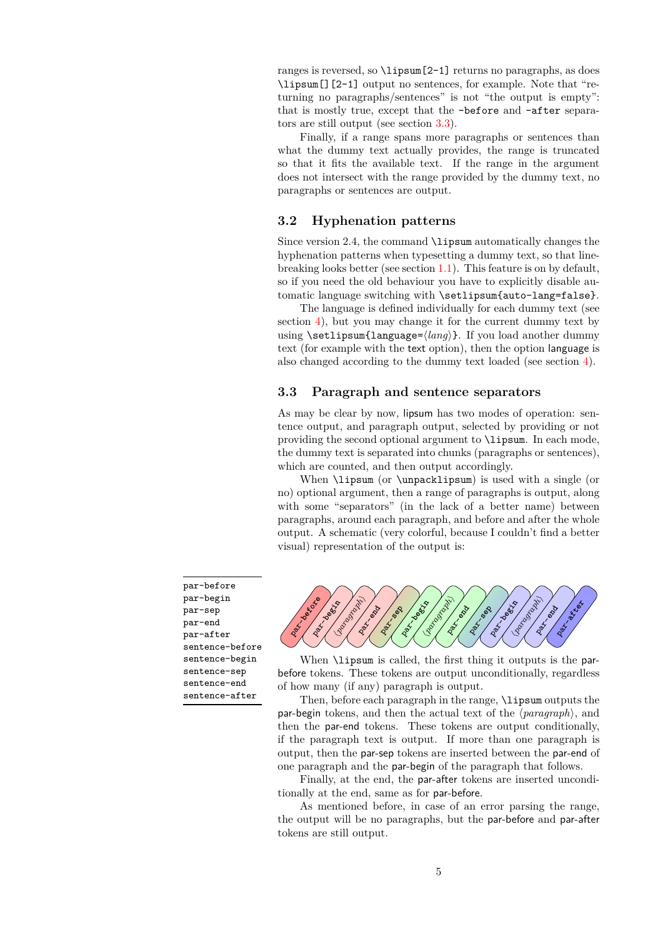ranges is reversed, so \lipsum[2-1] returns no paragraphs, as does \lipsum[][2-1] output no sentences, for example. Note that "returning no paragraphs/sentences" is not "the output is empty": that is mostly true, except that the -before and -after separators are still output (see section [3.3\)](#page-4-1).

Finally, if a range spans more paragraphs or sentences than what the dummy text actually provides, the range is truncated so that it fits the available text. If the range in the argument does not intersect with the range provided by the dummy text, no paragraphs or sentences are output.

### <span id="page-4-0"></span>**3.2 Hyphenation patterns**

Since version 2.4, the command **\lipsum** automatically changes the hyphenation patterns when typesetting a dummy text, so that linebreaking looks better (see section [1.1\)](#page-0-3). This feature is on by default, so if you need the old behaviour you have to explicitly disable automatic language switching with \setlipsum{auto-lang=false}.

The language is defined individually for each dummy text (see section [4\)](#page-6-0), but you may change it for the current dummy text by using \setlipsum{language=⟨*lang*⟩}. If you load another dummy text (for example with the text option), then the option language is also changed according to the dummy text loaded (see section [4\)](#page-6-0).

#### <span id="page-4-1"></span>**3.3 Paragraph and sentence separators**

As may be clear by now, lipsum has two modes of operation: sentence output, and paragraph output, selected by providing or not providing the second optional argument to \lipsum. In each mode, the dummy text is separated into chunks (paragraphs or sentences), which are counted, and then output accordingly.

When **\lipsum** (or **\unpacklipsum**) is used with a single (or no) optional argument, then a range of paragraphs is output, along with some "separators" (in the lack of a better name) between paragraphs, around each paragraph, and before and after the whole output. A schematic (very colorful, because I couldn't find a better visual) representation of the output is:

par-before par-begin par-sep par-end par-after sentence-before sentence-begin sentence-sep sentence-end sentence-after



When **\lipsum** is called, the first thing it outputs is the parbefore tokens. These tokens are output unconditionally, regardless of how many (if any) paragraph is output.

Then, before each paragraph in the range, \lipsum outputs the par-begin tokens, and then the actual text of the ⟨*paragraph*⟩, and then the par-end tokens. These tokens are output conditionally, if the paragraph text is output. If more than one paragraph is output, then the par-sep tokens are inserted between the par-end of one paragraph and the par-begin of the paragraph that follows.

Finally, at the end, the par-after tokens are inserted unconditionally at the end, same as for par-before.

As mentioned before, in case of an error parsing the range, the output will be no paragraphs, but the par-before and par-after tokens are still output.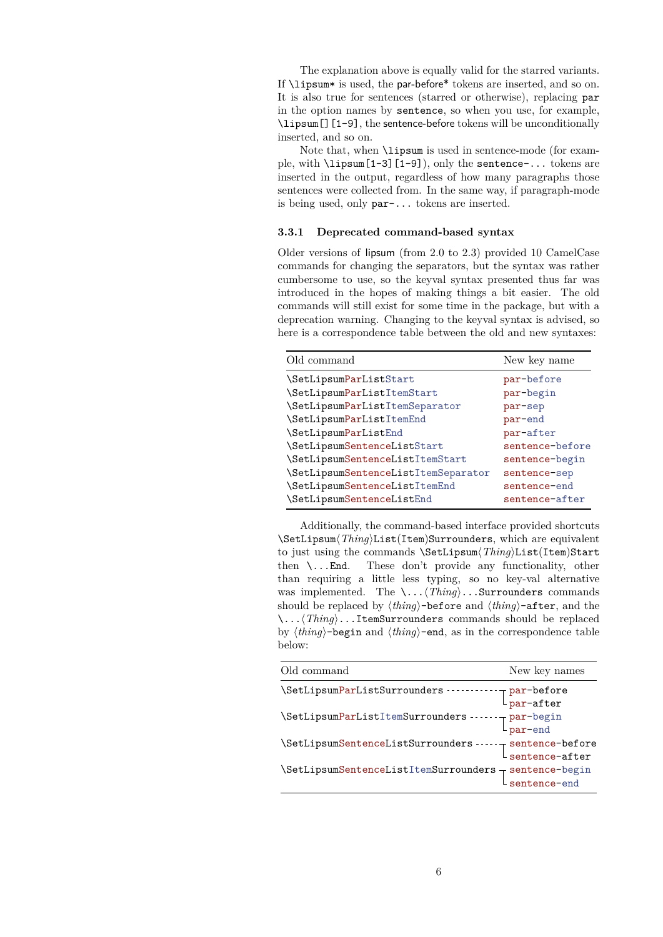The explanation above is equally valid for the starred variants. If \lipsum\* is used, the par-before\* tokens are inserted, and so on. It is also true for sentences (starred or otherwise), replacing par in the option names by sentence, so when you use, for example, \lipsum[][1-9], the sentence-before tokens will be unconditionally inserted, and so on.

Note that, when \lipsum is used in sentence-mode (for example, with \lipsum[1-3][1-9]), only the sentence-... tokens are inserted in the output, regardless of how many paragraphs those sentences were collected from. In the same way, if paragraph-mode is being used, only par-... tokens are inserted.

#### **3.3.1 Deprecated command-based syntax**

Older versions of lipsum (from 2.0 to 2.3) provided 10 CamelCase commands for changing the separators, but the syntax was rather cumbersome to use, so the keyval syntax presented thus far was introduced in the hopes of making things a bit easier. The old commands will still exist for some time in the package, but with a deprecation warning. Changing to the keyval syntax is advised, so here is a correspondence table between the old and new syntaxes:

| Old command                         | New key name    |
|-------------------------------------|-----------------|
| \SetLipsumParListStart              | par-before      |
| \SetLipsumParListItemStart          | par-begin       |
| \SetLipsumParListItemSeparator      | par-sep         |
| \SetLipsumParListItemEnd            | par-end         |
| \SetLipsumParListEnd                | par-after       |
| \SetLipsumSentenceListStart         | sentence-before |
| \SetLipsumSentenceListItemStart     | sentence-begin  |
| \SetLipsumSentenceListItemSeparator | sentence-sep    |
| \SetLipsumSentenceListItemEnd       | sentence-end    |
| \SetLipsumSentenceListEnd           | sentence-after  |

Additionally, the command-based interface provided shortcuts \SetLipsum⟨*Thing*⟩List(Item)Surrounders, which are equivalent to just using the commands \SetLipsum⟨*Thing*⟩List(Item)Start then \...End. These don't provide any functionality, other than requiring a little less typing, so no key-val alternative was implemented. The \...⟨*Thing*⟩...Surrounders commands should be replaced by ⟨*thing*⟩-before and ⟨*thing*⟩-after, and the \...⟨*Thing*⟩...ItemSurrounders commands should be replaced by ⟨*thing*⟩-begin and ⟨*thing*⟩-end, as in the correspondence table below:

| Old command                                                                                    | New key names                                                                   |
|------------------------------------------------------------------------------------------------|---------------------------------------------------------------------------------|
| \SetLipsumParListSurrounders ----------                                                        | $\begin{array}{c}\n\text{-} \text{par-before} \\ \text{par-after}\n\end{array}$ |
| \SetLipsumParListItemSurrounders ------- par-begin<br>par-end                                  |                                                                                 |
| $\verb+\SetLipsumSentencelistSurrounders --- \_ sentence \verb+before \_ sentence \verb+after$ |                                                                                 |
| $\verb \SetLipsumSentencelistItemSurrounders  \verb sentence-begin  \verb sentence-end $       |                                                                                 |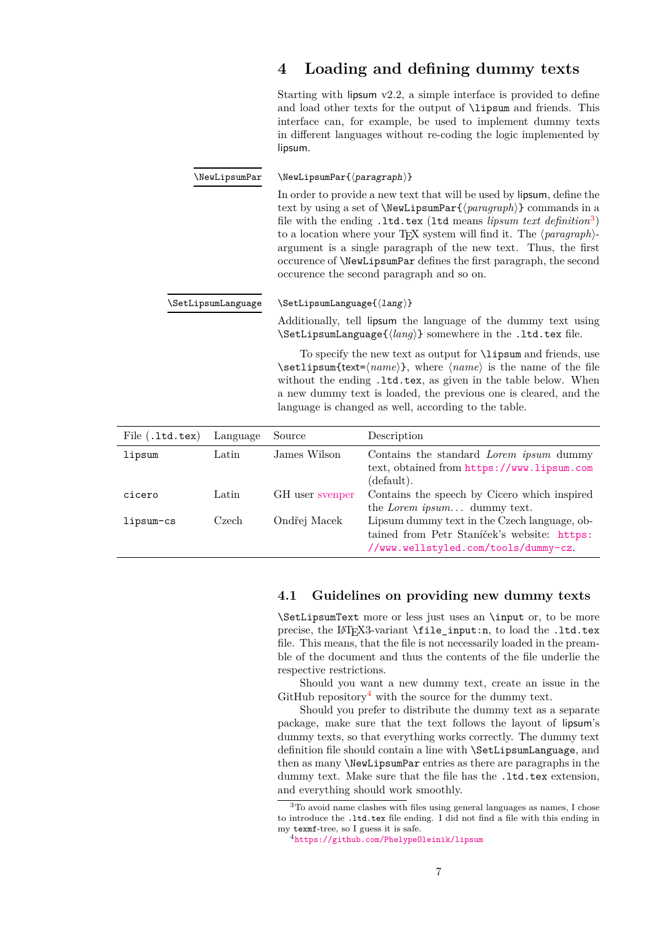<span id="page-6-4"></span><span id="page-6-3"></span><span id="page-6-0"></span>

|                    |          | $\bf{4}$                                                                                                                                                                                                                                                                                                                                                                                                                                                                                                                                                        | Loading and defining dummy texts                                                                                                                                                                                                                                                                                                                                                                             |  |
|--------------------|----------|-----------------------------------------------------------------------------------------------------------------------------------------------------------------------------------------------------------------------------------------------------------------------------------------------------------------------------------------------------------------------------------------------------------------------------------------------------------------------------------------------------------------------------------------------------------------|--------------------------------------------------------------------------------------------------------------------------------------------------------------------------------------------------------------------------------------------------------------------------------------------------------------------------------------------------------------------------------------------------------------|--|
|                    |          | lipsum.                                                                                                                                                                                                                                                                                                                                                                                                                                                                                                                                                         | Starting with lipsum $v2.2$ , a simple interface is provided to define<br>and load other texts for the output of <i>\lipsum</i> and friends. This<br>interface can, for example, be used to implement dummy texts<br>in different languages without re-coding the logic implemented by                                                                                                                       |  |
| \NewLipsumPar      |          | $\text{NewLipsumPar}\{\text{paragraph}\}$                                                                                                                                                                                                                                                                                                                                                                                                                                                                                                                       |                                                                                                                                                                                                                                                                                                                                                                                                              |  |
|                    |          | In order to provide a new text that will be used by lipsum, define the<br>text by using a set of <b>\NewLipsumPar{</b> $\langle$ <i>paragraph</i> } $\}$ commands in a<br>file with the ending .1td.tex (1td means <i>lipsum text definition</i> <sup>3</sup> )<br>to a location where your T <sub>E</sub> X system will find it. The $\langle paragraph\rangle$ -<br>argument is a single paragraph of the new text. Thus, the first<br>occurence of <b>\NewLipsumPar</b> defines the first paragraph, the second<br>occurence the second paragraph and so on. |                                                                                                                                                                                                                                                                                                                                                                                                              |  |
| \SetLipsumLanguage |          | $\Set{lang}$                                                                                                                                                                                                                                                                                                                                                                                                                                                                                                                                                    |                                                                                                                                                                                                                                                                                                                                                                                                              |  |
|                    |          | Additionally, tell lipsum the language of the dummy text using<br>$\Set{languarguarg}$ somewhere in the .1td.tex file.                                                                                                                                                                                                                                                                                                                                                                                                                                          |                                                                                                                                                                                                                                                                                                                                                                                                              |  |
|                    |          |                                                                                                                                                                                                                                                                                                                                                                                                                                                                                                                                                                 | To specify the new text as output for <b>\lipsum</b> and friends, use<br>$\setminus \setminus \setminus \setminus \mathsf{text} = \langle name \rangle$ , where $\langle name \rangle$ is the name of the file<br>without the ending .1td.tex, as given in the table below. When<br>a new dummy text is loaded, the previous one is cleared, and the<br>language is changed as well, according to the table. |  |
| File ( .1td.text)  | Language | Source                                                                                                                                                                                                                                                                                                                                                                                                                                                                                                                                                          | Description                                                                                                                                                                                                                                                                                                                                                                                                  |  |
| lipsum             | Latin    | James Wilson                                                                                                                                                                                                                                                                                                                                                                                                                                                                                                                                                    | Contains the standard <i>Lorem ipsum</i> dummy<br>text, obtained from https://www.lipsum.com<br>(default).                                                                                                                                                                                                                                                                                                   |  |
| cicero             | Latin    | GH user svenper                                                                                                                                                                                                                                                                                                                                                                                                                                                                                                                                                 | Contains the speech by Cicero which inspired<br>the Lorem ipsum dummy text.                                                                                                                                                                                                                                                                                                                                  |  |
| lipsum-cs          | Czech    | Ondřej Macek                                                                                                                                                                                                                                                                                                                                                                                                                                                                                                                                                    | Lipsum dummy text in the Czech language, ob-<br>tained from Petr Staníček's website: https:                                                                                                                                                                                                                                                                                                                  |  |

# **4.1 Guidelines on providing new dummy texts**

[//www.wellstyled.com/tools/dummy-cz](https://www.wellstyled.com/tools/dummy-cz).

\SetLipsumText more or less just uses an \input or, to be more precise, the LAT<sub>E</sub>X3-variant \file\_input:n, to load the .ltd.tex file. This means, that the file is not necessarily loaded in the preamble of the document and thus the contents of the file underlie the respective restrictions.

Should you want a new dummy text, create an issue in the GitHub repository<sup>[4](#page-6-2)</sup> with the source for the dummy text.

Should you prefer to distribute the dummy text as a separate package, make sure that the text follows the layout of lipsum's dummy texts, so that everything works correctly. The dummy text definition file should contain a line with \SetLipsumLanguage, and then as many \NewLipsumPar entries as there are paragraphs in the dummy text. Make sure that the file has the .1td.tex extension, and everything should work smoothly.

<span id="page-6-1"></span> $^3\mathrm{To}$  avoid name clashes with files using general languages as names, I chose to introduce the .ltd.tex file ending. I did not find a file with this ending in my texmf-tree, so I guess it is safe.

<span id="page-6-2"></span><sup>4</sup><https://github.com/PhelypeOleinik/lipsum>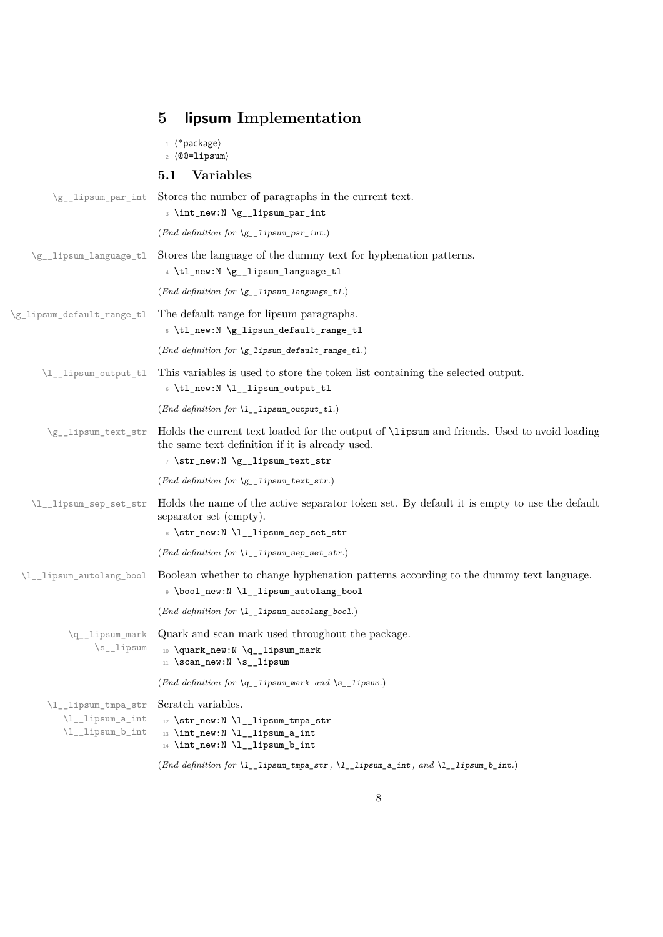|                                                             | lipsum Implementation<br>5                                                                                                                                                               |
|-------------------------------------------------------------|------------------------------------------------------------------------------------------------------------------------------------------------------------------------------------------|
|                                                             | $\langle$ *package $\rangle$<br>$2 \langle \texttt{Q@=lipsum} \rangle$                                                                                                                   |
|                                                             | <b>Variables</b><br>5.1                                                                                                                                                                  |
| \g__lipsum_par_int                                          | Stores the number of paragraphs in the current text.<br>3 \int_new:N \g__lipsum_par_int                                                                                                  |
|                                                             | (End definition for $\gtrsim$ _lipsum_par_int.)                                                                                                                                          |
| \g__lipsum_language_tl                                      | Stores the language of the dummy text for hyphenation patterns.<br>4 \tl_new:N \g__lipsum_language_tl                                                                                    |
|                                                             | ( <i>End definition for</i> $\gtrsim$ _lipsum_language_tl.)                                                                                                                              |
| \g_lipsum_default_range_tl                                  | The default range for lipsum paragraphs.<br>5 \tl_new:N \g_lipsum_default_range_tl                                                                                                       |
|                                                             | (End definition for \g_lipsum_default_range_tl.)                                                                                                                                         |
| \l__lipsum_output_tl                                        | This variables is used to store the token list containing the selected output.<br>6 \tl_new:N \l__lipsum_output_tl                                                                       |
|                                                             | (End definition for $\lceil L_1 \rceil$ ipsum_output_tl.)                                                                                                                                |
| \g__lipsum_text_str                                         | Holds the current text loaded for the output of <b>\lipsum</b> and friends. Used to avoid loading<br>the same text definition if it is already used.<br>7 \str_new:N \g__lipsum_text_str |
|                                                             | (End definition for $\gtrsim$ _lipsum_text_str.)                                                                                                                                         |
| \l__lipsum_sep_set_str                                      | Holds the name of the active separator token set. By default it is empty to use the default<br>separator set (empty).<br>8 \str_new:N \l__lipsum_sep_set_str                             |
|                                                             | $(End\ definition\ for\ \lql_1\llbracket\text{1} \text{psum\_sep\_set\_str.})$                                                                                                           |
| \l__lipsum_autolang_bool                                    | Boolean whether to change hyphenation patterns according to the dummy text language.<br><b>9</b> \bool_new:N \l__lipsum_autolang_bool                                                    |
|                                                             | $(End\ definition\ for\ \verb \l_\_lipsum_autolang_bool.)$                                                                                                                               |
| \q__lipsum_mark<br>$\s$ _lipsum                             | Quark and scan mark used throughout the package.<br>10 \quark_new:N \q__lipsum_mark<br>11 \scan_new:N \s__lipsum                                                                         |
|                                                             | (End definition for $\qquadq$ _lipsum_mark and $\s$ _lipsum.)                                                                                                                            |
| \l__lipsum_tmpa_str<br>\l__lipsum_a_int<br>\l__lipsum_b_int | Scratch variables.<br>$12$ \str_new:N \l__lipsum_tmpa_str<br>13 \int_new:N \l__lipsum_a_int<br>14 \int_new:N \l__lipsum_b_int                                                            |
|                                                             | (End definition for \1__1ipsum_tmpa_str, \1__1ipsum_a_int, and \1__1ipsum_b_int.)                                                                                                        |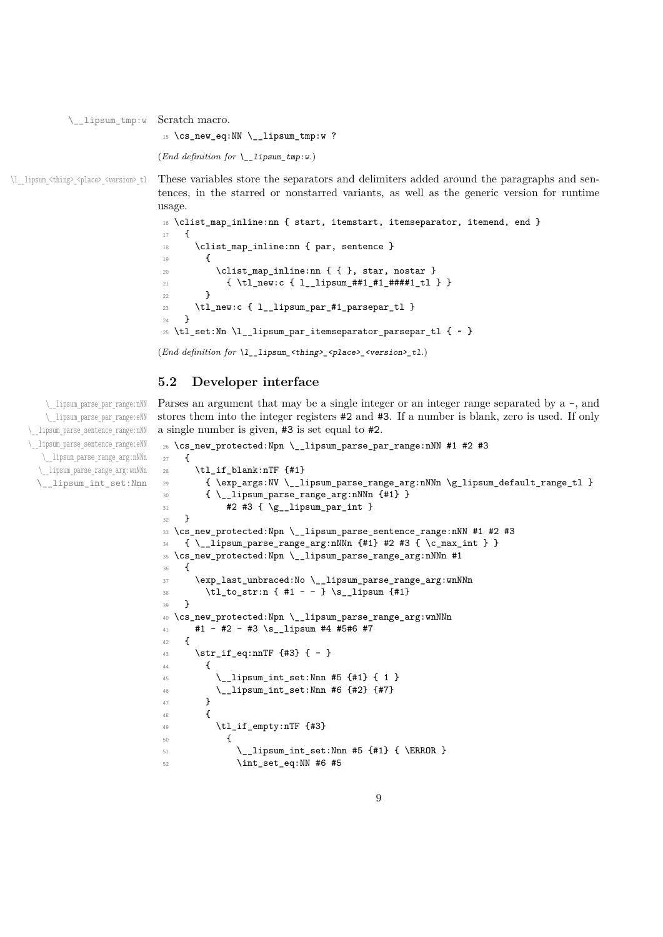\\_\_lipsum\_tmp:w Scratch macro.

<sup>15</sup> \cs\_new\_eq:NN \\_\_lipsum\_tmp:w ?

```
(End definition for \__lipsum_tmp:w.)
```
\l\_lipsum <thing> <place> <version> tl These variables store the separators and delimiters added around the paragraphs and sentences, in the starred or nonstarred variants, as well as the generic version for runtime usage.

```
16 \clist_map_inline:nn { start, itemstart, itemseparator, itemend, end }
17 \frac{17}{2}18 \clist_map_inline:nn { par, sentence }
 19 {
20 \clist_map_inline:nn { { }, star, nostar }
21 { \tl_new:c { l__lipsum_##1_#1_####1_tl } }
 22 }
23 \tl_new:c { l__lipsum_par_#1_parsepar_tl }
24 }
25 \tl_set:Nn \l__lipsum_par_itemseparator_parsepar_tl { ~ }
(End definition for \l__lipsum_<thing>_<place>_<version>_tl.)
```
**5.2 Developer interface**

Parses an argument that may be a single integer or an integer range separated by  $a -$ , and stores them into the integer registers #2 and #3. If a number is blank, zero is used. If only a single number is given, #3 is set equal to #2.

```
26 \text{ } \text{ }cs_new_protected:Npn \__lipsum_parse_par_range:nNN #1 #2 #3
27 \{28 \tl_if_blank:nTF {#1}
29 { \exp_args:NV \__lipsum_parse_range_arg:nNNn \g_lipsum_default_range_tl }
30 { \__lipsum_parse_range_arg:nNNn {#1} }
31 #2 #3 { \g__lipsum_par_int }
32 }
33 \cs_new_protected:Npn \_ lipsum_parse_sentence_range:nNN #1 #2 #3
_34 { \ lipsum parse range arg:nNNn {#1} #2 #3 { \c max int } }
35 \cs_new_protected:Npn \__lipsum_parse_range_arg:nNNn #1
36 {
37 \exp_last_unbraced:No \__lipsum_parse_range_arg:wnNNn
38 \tl_to_str:n { #1 - - } \s_lipsum {#1}
39 }
40 \cs_new_protected:Npn \__lipsum_parse_range_arg:wnNNn
41 \pm 1 \pm \pm 2 \pm \pm 3 \simeq 1 1 1 1 \pm 4 \pm 5\pm 6 \pm 742 \quad \textsf{f}43 \str_if_eq:nnTF {#3} { - }
44 \sim \sim45 \ lipsum int set:Nnn #5 {41} { 1 }
46 \__lipsum_int_set:Nnn #6 {#2} {#7}
47 }
48 {
49 \tl_if_empty:nTF {#3}
\overline{50} \overline{50}\L_1ipsum_int_set:Nnn #5 {#1} { \ERROR }
52 \int_{52} \int_{52} \int_{52} \int_{52} \int_{52} \int_{52} \int_{52} \int_{52} \int_{52} \int_{52} \int_{52} \int_{52} \int_{52} \int_{52} \int_{52} \int_{52} \int_{52} \int_{52} \int_{52} \int_{52} \int_{52} \int_{52} \int_{52} \int_{52}
```
\\_\_lipsum\_parse\_par\_range:nNN \\_\_lipsum\_parse\_par\_range:eNN \\_\_lipsum\_parse\_sentence\_range:nNN \\_\_lipsum\_parse\_sentence\_range:eNN \\_\_lipsum\_parse\_range\_arg:nNNn \\_\_lipsum\_parse\_range\_arg:wnNNn \\_\_lipsum\_int\_set:Nnn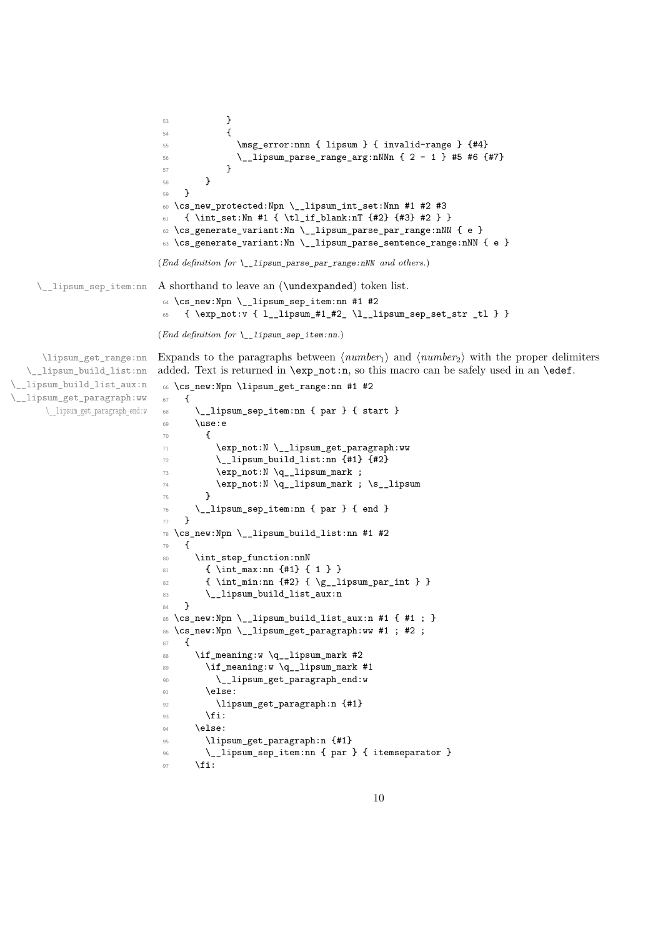```
53 }
                             54 \{\mathbb{S} \msg_error:nnn { lipsum } { invalid-range } {#4}
                            56 \_lipsum_parse_range_arg:nNNn { 2 - 1 } #5 #6 {#7}
                             57 }
                            58 }
                            59 }
                            60 \cs_new_protected:Npn \__lipsum_int_set:Nnn #1 #2 #3
                            61 { \int_set:Nn #1 { \tl_if_blank:nT {#2} {#3} #2 } }
                            62 \cs_generate_variant:Nn \__lipsum_parse_par_range:nNN { e }
                            _{63} \cs_generate_variant:Nn \__lipsum_parse_sentence_range:nNN { e }
                            (End definition for \__lipsum_parse_par_range:nNN and others.)
    \__lipsum_sep_item:nn A shorthand to leave an (\undexpanded) token list.
                            64 \cs_new:Npn \__lipsum_sep_item:nn #1 #2
                            65 { \exp_not:v { l__lipsum_#1_#2_ \l__lipsum_sep_set_str _tl } }
                            (End definition for \__lipsum_sep_item:nn.)
     \lipsum_get_range:nn
  \__lipsum_build_list:nn
\__lipsum_build_list_aux:n
\__lipsum_get_paragraph:ww
      \__lipsum_get_paragraph_end:w
                            Expands to the paragraphs between \langle number_1 \rangle and \langle number_2 \rangle with the proper delimiters
                            added. Text is returned in \exp_not:n, so this macro can be safely used in an \edef.
                            66 \cs_new:Npn \lipsum_get_range:nn #1 #2
                            67 \frac{1}{2}68 \__lipsum_sep_item:nn { par } { start }
                            69 \use:e
                             70 {
                             71 \text{V} \L_1 \text{V} \L_2 \text{V} \L_3 \text{V} \L_4\frac{1}{2} \__lipsum_build_list:nn {#1} {#2}
                             73 \exp_not:N \q__lipsum_mark ;
                             74 \text{Veynot:}N \qquad \text{max} ; \text{S}_{{\text{prun}}75 }
                             76 \__lipsum_sep_item:nn { par } { end }
                             77 }
                            78 \cs_new:Npn \__lipsum_build_list:nn #1 #2
                             79 {
                            80 \int_step_function:nnN
                            81 { \int_max:nn {#1} { 1 } }
                            82 \{ \int_{min:nn} {\#2} {\q \gtrsim_lipsum\_par\_int } }83 \__lipsum_build_list_aux:n
                            84 }
                            85 \cs_new:Npn \__lipsum_build_list_aux:n #1 { #1 ; }
                             86 \cs_new:Npn \_lipsum_get_paragraph:ww #1 ; #2 ;
                             87 {
                             88 \if_meaning:w \q__lipsum_mark #2
                             89 \if_meaning:w \q__lipsum_mark #1
                             90 \__lipsum_get_paragraph_end:w
                            \log<sup>1</sup>
                            92 \lipsum_get_paragraph:n {#1}
                            93 \qquad \qquad \text{Yii:}94 \text{ k}95 \lipsum_get_paragraph:n {#1}
                             96 \__lipsum_sep_item:nn { par } { itemseparator }
                             97 \fi:
```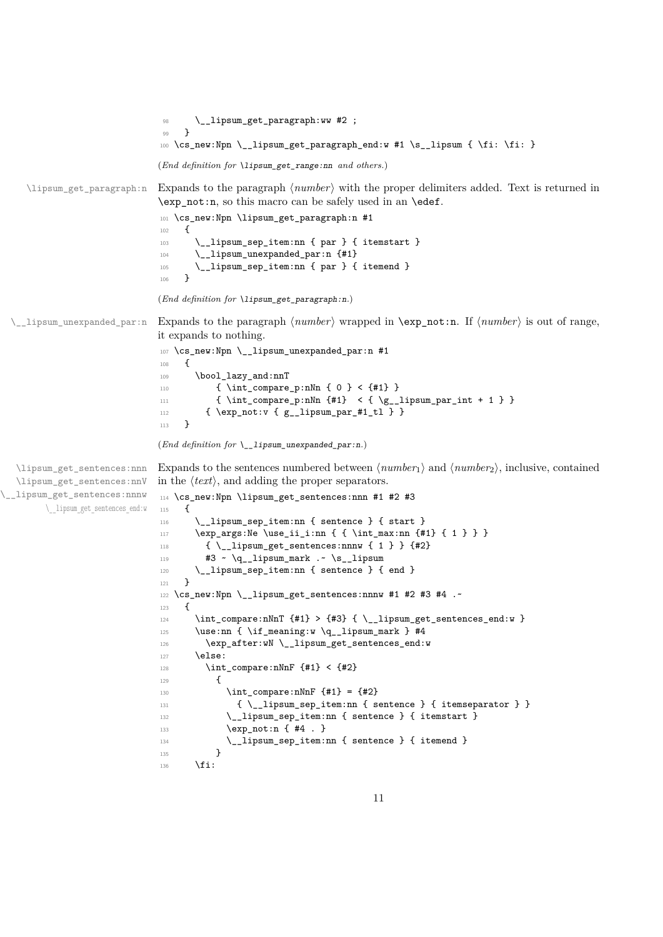```
98 \__lipsum_get_paragraph:ww #2 ;
                               99 }
                              100 \cs_new:Npn \__lipsum_get_paragraph_end:w #1 \s__lipsum { \fi: \fi: }
                              (End definition for \lipsum_get_range:nn and others.)
    \lipsum_get_paragraph:n Expands to the paragraph ⟨number⟩ with the proper delimiters added. Text is returned in
                              \exp_not:n, so this macro can be safely used in an \edef.
                              101 \cs_new:Npn \lipsum_get_paragraph:n #1
                              102 {
                              103 \__lipsum_sep_item:nn { par } { itemstart }
                              104 \__lipsum_unexpanded_par:n {#1}
                              105 \L_lipsum_sep_item:nn { par } { itemend }
                              106 }
                              (End definition for \lipsum_get_paragraph:n.)
 \__lipsum_unexpanded_par:n Expands to the paragraph ⟨number⟩ wrapped in \exp_not:n. If ⟨number⟩ is out of range,
                              it expands to nothing.
                              107 \cs_new:Npn \__lipsum_unexpanded_par:n #1
                              108 {
                              109 \bool_lazy_and:nnT
                              110 \{ \int_{\text{compare}_p: nNn} \{ 0 \} < \{ \#1 \} \}111 {\int_{\infty} f \in {\mathbb{R}} \cdot f(x) dx = \int_{x}^{x} dx + 1112 \{ \exp\_not: v \{ g\_lipsum\_par\_#1\_t1 \} \}113 \quad \frac{1}{2}(End definition for \__lipsum_unexpanded_par:n.)
  \lipsum_get_sentences:nnn
 \lipsum_get_sentences:nnV
\__lipsum_get_sentences:nnnw
       \__lipsum_get_sentences_end:w
                              Expands to the sentences numbered between \langle number_1 \rangle and \langle number_2 \rangle, inclusive, contained
                              in the ⟨text⟩, and adding the proper separators.
                              114 \cs_new:Npn \lipsum_get_sentences:nnn #1 #2 #3
                              115 \, \text{f}116 \ lipsum_sep_item:nn { sentence } { start }
                              117 \exp_args:Ne \use_ii_i:nn { { \int_max:nn {#1} { 1 } } }
                              118 \{ \ \ \sum \text{lipsum\_get\_sentences:nnnw \ } \{ 1 \ \} \ \}119 #3 \sim \qquad \text{4} - 1ipsum_mark .~ \s__lipsum
                              120 \__lipsum_sep_item:nn { sentence } { end }
                              121 }
                              122 \text{ \&\n 122 } \cs_new:Npn \__lipsum_get_sentences:nnnw #1 #2 #3 #4 .~
                              123 {
                              124 \int_compare:nNnT {#1} > {#3} { \__lipsum_get_sentences_end:w }
                              125 \use:nn { \if_meaning:w \q__lipsum_mark } #4
                              126 \exp_after:wN \__lipsum_get_sentences_end:w
                              127 \else:
                              128 \int_compare:nNnF {#1} < {#2}
                               129 \qquad \qquad130 \int_{130} \int_{130} \int_{20} \int_{130} \{#1\} = \{#2\}131 \{\ \_ \ \{\ \square \ \} \} \}132 \cdot \_lipsum_sep_item:nn { sentence } { itemstart }
                              133 \exp_not:n { #4 . }
                              134 \__lipsum_sep_item:nn { sentence } { itemend }
                               135 }
                              136 \fi:
```

```
11
```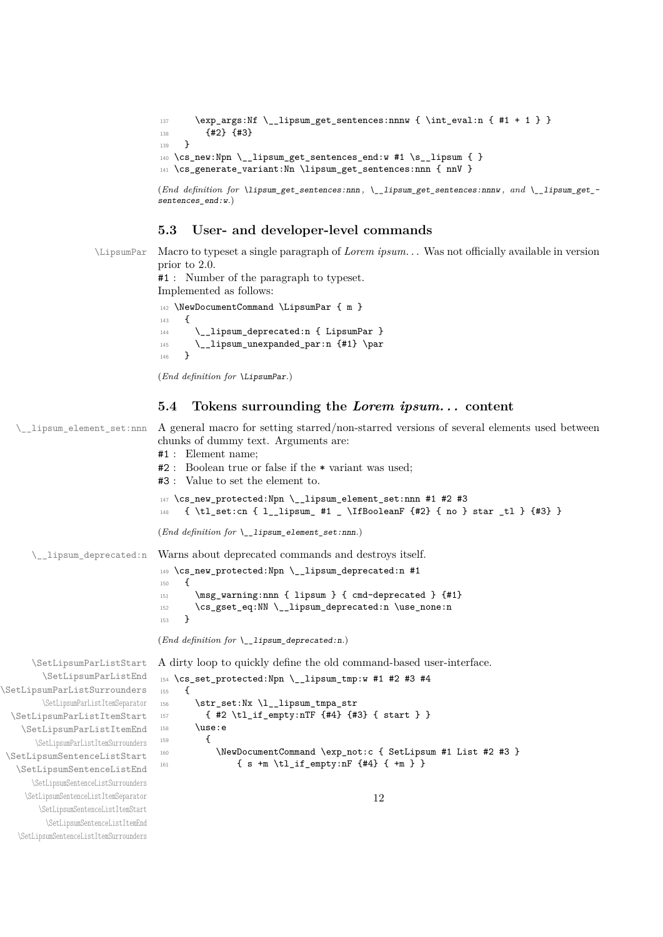```
137 \exp_args:Nf \__lipsum_get_sentences:nnnw { \int_eval:n { #1 + 1 } }
138 {42} {43}139 }
^{140} \cs_new:Npn \__lipsum_get_sentences_end:w #1 \s__lipsum { }
141 \cs_generate_variant:Nn \lipsum_get_sentences:nnn { nnV }
(End definition for \lipsum_get_sentences:nnn , \__lipsum_get_sentences:nnnw , and \__lipsum_get_-
```

```
sentences_end:w.)
```
#### **5.3 User- and developer-level commands**

\LipsumPar Macro to typeset a single paragraph of *Lorem ipsum. . .* Was not officially available in version prior to 2.0.

> #1 : Number of the paragraph to typeset. Implemented as follows:

```
142 \NewDocumentCommand \LipsumPar { m }
143 \, \text{f}144 \__lipsum_deprecated:n { LipsumPar }
145 \__lipsum_unexpanded_par:n {#1} \par
146 }
```

```
(End definition for \LipsumPar.)
```
#### **5.4 Tokens surrounding the** *Lorem ipsum. . .* **content**

```
\__lipsum_element_set:nnn A general macro for setting starred/non-starred versions of several elements used between
                                     chunks of dummy text. Arguments are:
                                     #1 : Element name;
                                     #2 : Boolean true or false if the * variant was used;
                                     #3 : Value to set the element to.
                                     147 \cs_new_protected:Npn \__lipsum_element_set:nnn #1 #2 #3
                                     148 { \tl_set:cn { l__lipsum_ #1 _ \IfBooleanF {#2} { no } star _tl } {#3} }
                                     (End definition for \__lipsum_element_set:nnn.)
       \__lipsum_deprecated:n Warns about deprecated commands and destroys itself.
                                     149 \cs_new_protected:Npn \__lipsum_deprecated:n #1
                                     150 {
                                     151 \msg_warning:nnn { lipsum } { cmd-deprecated } {#1}
                                     152 \cs_gset_eq:NN \__lipsum_deprecated:n \use_none:n
                                     153 }
                                     (End definition for \__lipsum_deprecated:n.)
       \SetLipsumParListStart
         \SetLipsumParListEnd
\SetLipsumParListSurrounders
         \SetLipsumParListItemSeparator
  \SetLipsumParListItemStart
    \SetLipsumParListItemEnd
        \SetLipsumParListItemSurrounders
\SetLipsumSentenceListStart
   \SetLipsumSentenceListEnd
       \SetLipsumSentenceListSurrounders
     \SetLipsumSentenceListItemSeparator
        \SetLipsumSentenceListItemStart
          \SetLipsumSentenceListItemEnd
                                     A dirty loop to quickly define the old command-based user-interface.
                                     154 \cs_set_protected:Npn \__lipsum_tmp:w #1 #2 #3 #4
                                     155 {
                                     156 \str_set:Nx \l__lipsum_tmpa_str
                                     157 { #2 \tl_if_empty:nTF {#4} {#3} { start } }
                                     158 \use:e
                                     159 \qquad \qquad \qquad \qquad \qquad \qquad \qquad \qquad \qquad \qquad \qquad \qquad \qquad \qquad \qquad \qquad \qquad \qquad \qquad \qquad \qquad \qquad \qquad \qquad \qquad \qquad \qquad \qquad \qquad \qquad \qquad \qquad \qquad \qquad \qquad \qquad \160 \NewDocumentCommand \exp_not:c { SetLipsum #1 List #2 #3 }
                                     161 \{ s + m \lt l_i \text{ empty}: nF \{ #4 \} \{ +m \} \}12
```

```
\SetLipsumSentenceListItemSurrounders
```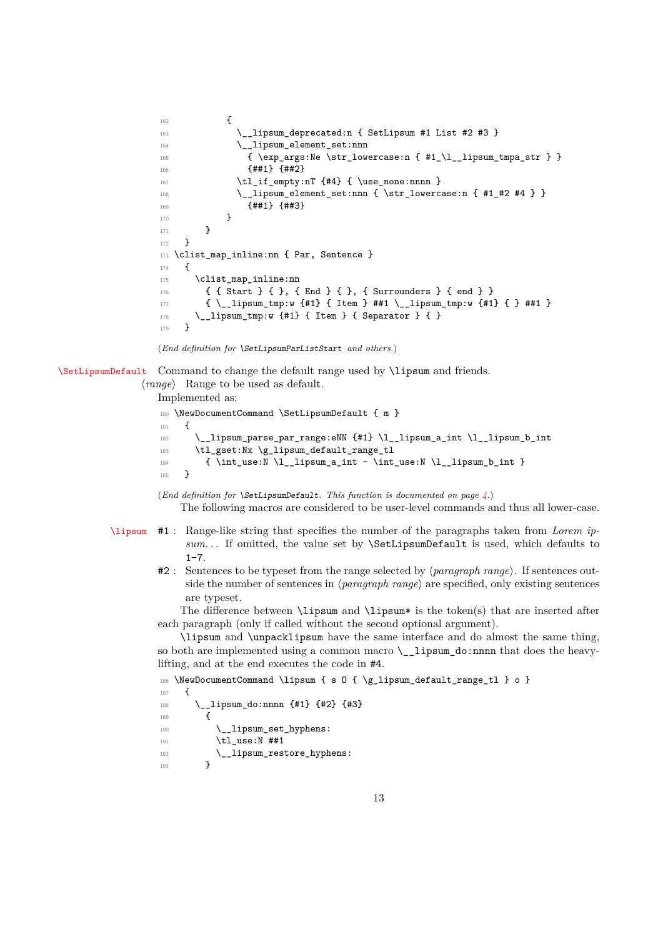```
162 \left\{ \begin{array}{c} \end{array} \right.163 \__lipsum_deprecated:n { SetLipsum #1 List #2 #3 }
164 \__lipsum_element_set:nnn
165 { \exp_args:Ne \str_lowercase:n { #1_\l__lipsum_tmpa_str } }
166 {##1} {##2}
167 \tl_if_empty:nT {#4} { \use_none:nnnn }
168 \longrightarrow lipsum element set:nnn { \str lowercase:n { #1 #2 #4 } }
169 {##1} {##3}
170 }
171 }
172 }
173 \clist_map_inline:nn { Par, Sentence }
174 {
175 \clist_map_inline:nn
176 { { Start } { }, { End } { }, { Surrounders } { end } }
177 { \_lipsum_tmp:w {#1} { Item } ##1 \_lipsum_tmp:w {#1} { } ##1 }
178 \__lipsum_tmp:w {#1} { Item } { Separator } { }
179 }
```

```
(End definition for \SetLipsumParListStart and others.)
```
[\SetLipsumDefault](#page-3-1) Command to change the default range used by \lipsum and friends.

⟨*range*⟩ Range to be used as default.

Implemented as:

```
180 \NewDocumentCommand \SetLipsumDefault { m }
181 \t{5}182 \__lipsum_parse_par_range:eNN {#1} \l__lipsum_a_int \l__lipsum_b_int
183 \tl_gset:Nx \g_lipsum_default_range_tl
184 { \int_use:N \l__lipsum_a_int - \int_use:N \l__lipsum_b_int }
185 }
```
(*End definition for* \SetLipsumDefault*. This function is documented on page [4.](#page-3-1)*) The following macros are considered to be user-level commands and thus all lower-case.

- [\lipsum](#page-2-2) #1 : Range-like string that specifies the number of the paragraphs taken from *Lorem ipsum. . .* If omitted, the value set by \SetLipsumDefault is used, which defaults to  $1 - 7$ .
	- #2 : Sentences to be typeset from the range selected by ⟨*paragraph range*⟩. If sentences outside the number of sentences in ⟨*paragraph range*⟩ are specified, only existing sentences are typeset.

The difference between  $\lvert$  ipsum and  $\lvert$  ipsum is the token(s) that are inserted after each paragraph (only if called without the second optional argument).

\lipsum and \unpacklipsum have the same interface and do almost the same thing, so both are implemented using a common macro \\_\_lipsum\_do:nnnn that does the heavylifting, and at the end executes the code in #4.

```
186 \NewDocumentCommand \lipsum { s 0 { \g_lipsum_default_range_tl } o }
187 \frac{187}{189}188 \__lipsum_do:nnnn {#1} {#2} {#3}
190
190 \__lipsum_set_hyphens:
191 \tl use:N ##1
192 \_lipsum_restore_hyphens:
193 }
```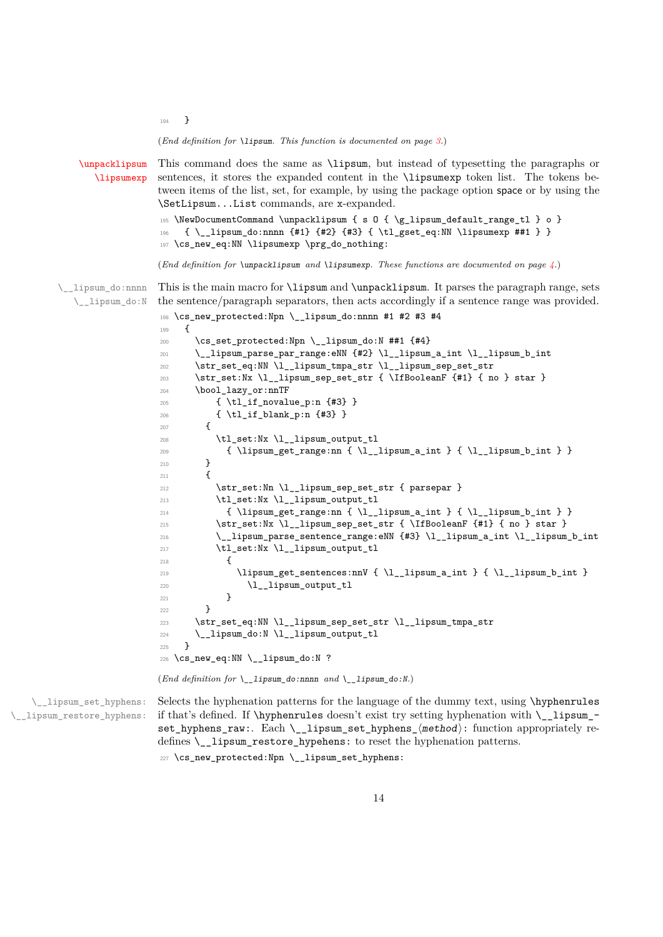<sup>194</sup> }

(*End definition for* \lipsum*. This function is documented on page [3.](#page-2-2)*)

```
\unpacklipsum
           \lipsumexp
                       This command does the same as \lipsum, but instead of typesetting the paragraphs or
                       sentences, it stores the expanded content in the \lipsumexp token list. The tokens be-
                       tween items of the list, set, for example, by using the package option space or by using the
                       \SetLipsum...List commands, are x-expanded.
                       195 \NewDocumentCommand \unpacklipsum { s 0 { \g_lipsum_default_range_tl } o }
                       196 \{ \_ \lipsum_{do: nnnn \{#1\} \{#2\} \{ \} \}197 \cs_new_eq:NN \lipsumexp \prg_do_nothing:
                       (End definition for \unpacklipsum and \lipsumexp. These functions are documented on page 4.)
      \__lipsum_do:nnnn
       \__lipsum_do:N
                       This is the main macro for \lipsum and \unpacklipsum. It parses the paragraph range, sets
                       the sentence/paragraph separators, then acts accordingly if a sentence range was provided.
                       198 \cs_new_protected:Npn \__lipsum_do:nnnn #1 #2 #3 #4
                       100 \frac{1}{2}200 \cs_set_protected:Npn \__lipsum_do:N ##1 {#4}
                       201 \__lipsum_parse_par_range:eNN {#2} \l__lipsum_a_int \l__lipsum_b_int
                       202 \str_set_eq:NN \l__lipsum_tmpa_str \l__lipsum_sep_set_str
                       203 \str_set:Nx \l_lipsum_sep_set_str { \IfBooleanF {#1} { no } star }
                       204 \bool_lazy_or:nnTF
                       205 { \tl_if_novalue_p:n {#3} }
                       206 { \tl_if_blank_p:n {#3} }
                       207 \uparrow208 \tl_set:Nx \l_lipsum_output_tl
                       209 { \lipsum_get_range:nn { \l__lipsum_a_int } { \l__lipsum_b_int } }
                       210 }
                       211212 \str_set:Nn \l__lipsum_sep_set_str { parsepar }
                       213 \tl_set:Nx \l_lipsum_output_tl
                       214 { \lipsum_get_range:nn { \l__lipsum_a_int } { \l__lipsum_b_int } }
                       215 \str_set:Nx \l__lipsum_sep_set_str { \IfBooleanF {#1} { no } star }
                       216 \__lipsum_parse_sentence_range:eNN {#3} \l__lipsum_a_int \l__lipsum_b_int
                       217 \tl_set:Nx \l__lipsum_output_tl
                       218 {
                       219 \lipsum_get_sentences:nnV { \l__lipsum_a_int } { \l__lipsum_b_int }
                       220 \l__lipsum_output_tl
                       221 }
                       222 }
                       223 \str_set_eq:NN \l__lipsum_sep_set_str \l__lipsum_tmpa_str
                       224 \__lipsum_do:N \l__lipsum_output_tl
                       225 }
                       226 \cs_new_eq:NN \__lipsum_do:N ?
                       (End definition for \__lipsum_do:nnnn and \__lipsum_do:N.)
\__lipsum_set_hyphens:
                       Selects the hyphenation patterns for the language of the dummy text, using \hyphenrules
                       if that's defined. If \hbar if thyphenrules doesn't exist try setting hyphenation with \hbar lipsum -
```
\\_\_lipsum\_restore\_hyphens:

set\_hyphens\_raw:. Each \\_lipsum\_set\_hyphens\_ $\langle$ method $\rangle$ : function appropriately redefines \\_\_lipsum\_restore\_hypehens: to reset the hyphenation patterns.

227 \cs\_new\_protected:Npn \\_\_lipsum\_set\_hyphens: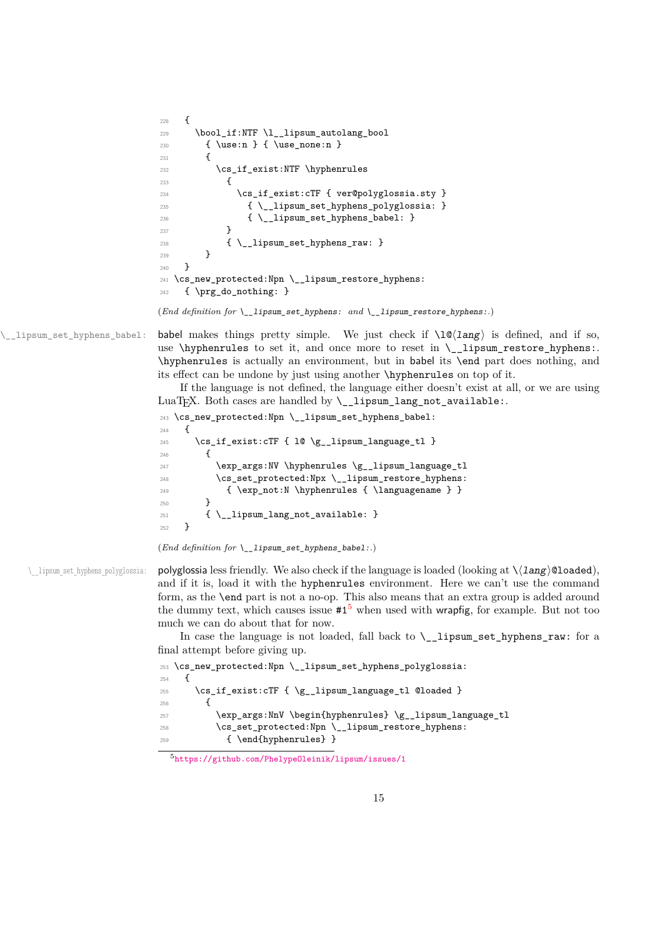```
228 {
229 \bool_if:NTF \l__lipsum_autolang_bool
230 { \use:n } { \use_none:n }
231 \epsilon232 \cs_if_exist:NTF \hyphenrules
233 \qquad \qquad \text{ }234 \cs if exist:cTF { ver@polyglossia.sty }
235 \{\ \setminus\ \text{lipsum\_set\_hyphens\_polyglossia: } \}236 { \__lipsum_set_hyphens_babel: }
237 }
238 { \__lipsum_set_hyphens_raw: }
239 }
240241 \cs_new_protected:Npn \__lipsum_restore_hyphens:
242 { \prg_do_nothing: }
```

```
(End definition for \__lipsum_set_hyphens: and \__lipsum_restore_hyphens:.)
```
\\_\_lipsum\_set\_hyphens\_babel: babel makes things pretty simple. We just check if \l@⟨lang⟩ is defined, and if so, use \hyphenrules to set it, and once more to reset in  $\_\$ lipsum\_restore\_hyphens:. \hyphenrules is actually an environment, but in babel its \end part does nothing, and its effect can be undone by just using another \hyphenrules on top of it.

> If the language is not defined, the language either doesn't exist at all, or we are using LuaT<sub>EX</sub>. Both cases are handled by  $\_{$  \_lipsum\_lang\_not\_available:.

```
243 \cs_new_protected:Npn \__lipsum_set_hyphens_babel:
244 {
245 \cs_if_exist:cTF { 10 \g__lipsum_language_tl }
246 \uparrow247 \exp_args:NV \hyphenrules \g__lipsum_language_tl
248 \cs_set_protected:Npx \__lipsum_restore_hyphens:
249 { \exp_not:N \hyphenrules { \languagename } }
250 }
251 { \__lipsum_lang_not_available: }
252 }
```
(*End definition for* \\_\_lipsum\_set\_hyphens\_babel:*.*)

\ lipsum set hyphens polyglossia: polyglossia less friendly. We also check if the language is loaded (looking at \⟨lang⟩@loaded), and if it is, load it with the hyphenrules environment. Here we can't use the command form, as the \end part is not a no-op. This also means that an extra group is added around the dummy text, which causes issue  $#1<sup>5</sup>$  $#1<sup>5</sup>$  $#1<sup>5</sup>$  when used with wrapfig, for example. But not too much we can do about that for now.

> In case the language is not loaded, fall back to  $\setminus$  lipsum set hyphens raw: for a final attempt before giving up.

```
253 \cs_new_protected:Npn \__lipsum_set_hyphens_polyglossia:
254 \sim f
255 \cs_if_exist:cTF { \g__lipsum_language_tl @loaded }
256 \left\{ \begin{array}{ccc} 256 & & \end{array} \right\}257 \exp_args:NnV \begin{hyphenrules} \g_lipsum_language_tl
258 \cs_set_protected:Npn \__lipsum_restore_hyphens:
259 { \end{hyphenrules} }
```
<span id="page-14-0"></span><sup>5</sup><https://github.com/PhelypeOleinik/lipsum/issues/1>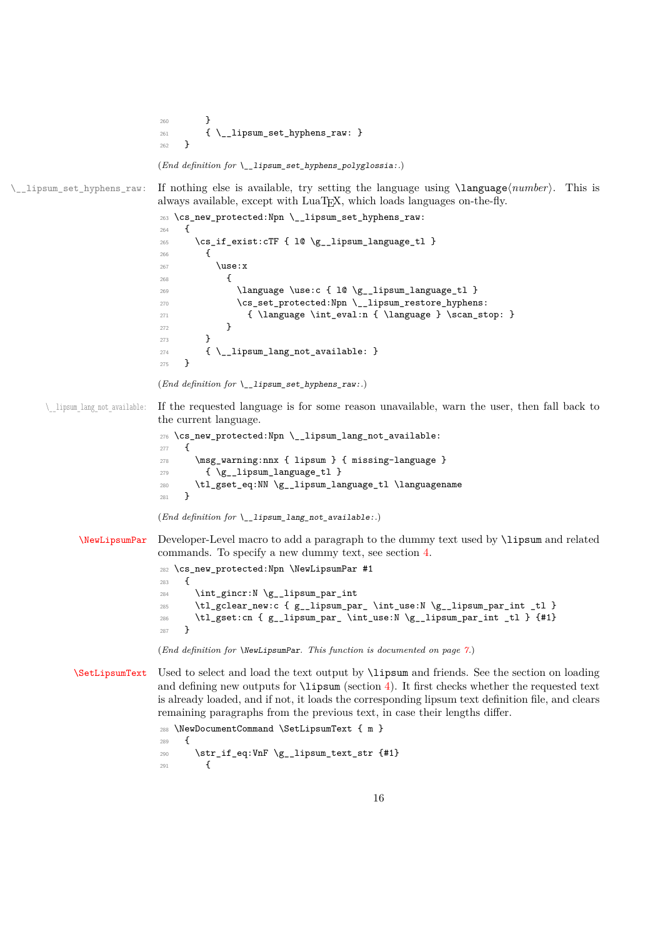```
260 }
                             \{ \ \sum_{j=1}^{261} \} { \{ \ \sum_{j=1}^{261} \} }
                             262(End definition for \__lipsum_set_hyphens_polyglossia:.)
\__lipsum_set_hyphens_raw: If nothing else is available, try setting the language using \language⟨number⟩. This is
                            always available, except with LuaT<sub>EX</sub>, which loads languages on-the-fly.
                             263 \cs_new_protected:Npn \__lipsum_set_hyphens_raw:
                             264 {
                             265 \cs_if_exist:cTF { 10 \g__lipsum_language_tl }
                             266 \sim267 \use:x
                             268 {
                             \verb|269| \tag{10 \gtrsim Lampuage} \use: c { 10 \gtrsim_Lippsum_language_t1 }270 \cs_set_protected:Npn \__lipsum_restore_hyphens:
                             271 { \language \int_eval:n { \language } \scan_stop: }
                             272 }
                             273 }
                             274 { \__lipsum_lang_not_available: }
                             275 }
                            (End definition for \__lipsum_set_hyphens_raw:.)
      \ lipsum lang not available: If the requested language is for some reason unavailable, warn the user, then fall back to
                            the current language.
                             276 \cs_new_protected:Npn \__lipsum_lang_not_available:
                             277 {
                             278 \msg_warning:nnx { lipsum } { missing-language }
                             279 { \gtrsim { \gtrsim 1ipsum_language_tl }
                             280 \tl_gset_eq:NN \g__lipsum_language_tl \languagename
                             281 }
                            (End definition for \__lipsum_lang_not_available:.)
             \NewLipsumPar Developer-Level macro to add a paragraph to the dummy text used by \lipsum and related
                            commands. To specify a new dummy text, see section 4.
                             282 \cs_new_protected:Npn \NewLipsumPar #1
                             283 {
                             284 \int_gincr:N \g__lipsum_par_int
                             285 \tl_gclear_new:c { g_lipsum_par_ \int_use:N \g_lipsum_par_int _tl }
                             286 \tl_gset:cn { g__lipsum_par_ \int_use:N \g__lipsum_par_int _tl } {#1}
                             287 }
                            (End definition for \NewLipsumPar. This function is documented on page 7.)
            \SetLipsumText Used to select and load the text output by \lipsum and friends. See the section on loading
                            and defining new outputs for \langle4). It first checks whether the requested text
                            is already loaded, and if not, it loads the corresponding lipsum text definition file, and clears
                            remaining paragraphs from the previous text, in case their lengths differ.
                             288 \NewDocumentCommand \SetLipsumText { m }
                             289 \sim290 \str_if_eq:VnF \g__lipsum_text_str {#1}
```
 $291$   $\qquad \qquad$   $\qquad$   $\qquad$   $\qquad$   $\qquad$   $\qquad$   $\qquad$   $\qquad$   $\qquad$   $\qquad$   $\qquad$   $\qquad$   $\qquad$   $\qquad$   $\qquad$   $\qquad$   $\qquad$   $\qquad$   $\qquad$   $\qquad$   $\qquad$   $\qquad$   $\qquad$   $\qquad$   $\qquad$   $\qquad$   $\qquad$   $\qquad$   $\qquad$   $\qquad$   $\qquad$   $\qquad$   $\qquad$   $\qquad$   $\qquad$   $\$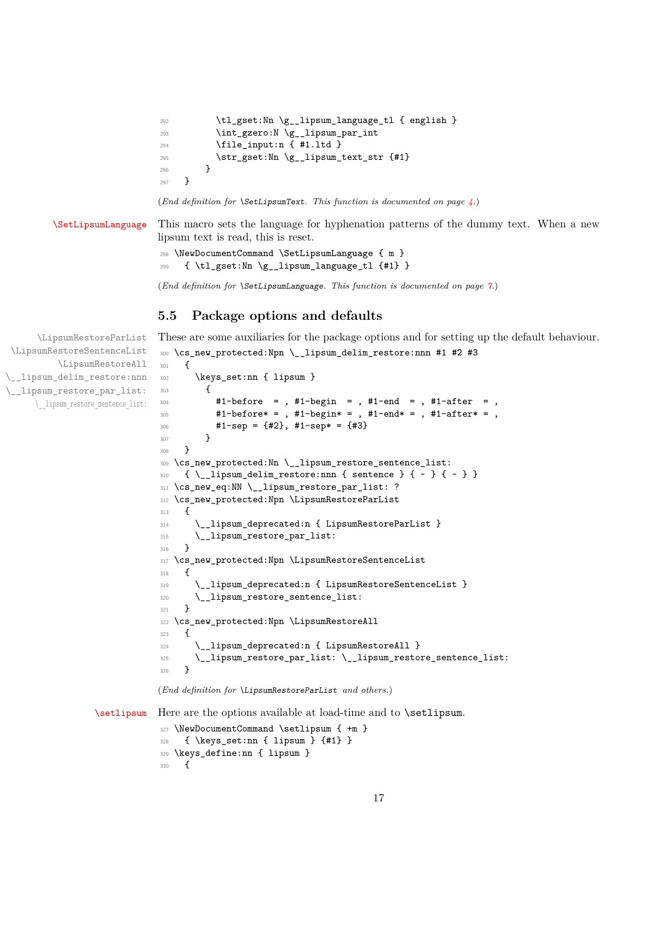```
292 \tl_gset:Nn \g__lipsum_language_tl { english }
293 \int_gzero:N \g__lipsum_par_int
294 \file_input:n { #1.ltd }
295 \str_gset:Nn \g__lipsum_text_str {#1}
296 }
297 }
```
(*End definition for* \SetLipsumText*. This function is documented on page [4.](#page-3-3)*)

[\SetLipsumLanguage](#page-6-4) This macro sets the language for hyphenation patterns of the dummy text. When a new lipsum text is read, this is reset.

```
298 \NewDocumentCommand \SetLipsumLanguage { m }
299 { \tl_gset:Nn \g__lipsum_language_tl {#1} }
```
(*End definition for* \SetLipsumLanguage*. This function is documented on page [7.](#page-6-4)*)

<sup>300</sup> \cs\_new\_protected:Npn \\_\_lipsum\_delim\_restore:nnn #1 #2 #3

#### **5.5 Package options and defaults**

These are some auxiliaries for the package options and for setting up the default behaviour.

```
\LipsumRestoreParList
 \LipsumRestoreSentenceList
          \LipsumRestoreAll
\__lipsum_delim_restore:nnn
\__lipsum_restore_par_list:
      \__lipsum_restore_sentence_list:
```
 $301 \frac{f}{f}$ 

```
302 \keys_set:nn { lipsum }
303 {
304 #1-before = , #1-begin = , #1-end = , #1-after = ,
305 #1-before* = , #1-begin* = , #1-end* = , #1-after* = ,
306 #1-sep = {#2}, #1-sep* = {#3}307 }
308 }
309 \cs_new_protected:Nn \__lipsum_restore_sentence_list:
310 \{ \ \setminus \_\_lipsum_delim_restore:nnn { sentence } { \sim } { \sim } }
311 \cs_new_eq:NN \_lipsum_restore_par_list: ?
312 \cs_new_protected:Npn \LipsumRestoreParList
313 {
314 \__lipsum_deprecated:n { LipsumRestoreParList }
315 \__lipsum_restore_par_list:<br>316 }
316 }
317 \cs_new_protected:Npn \LipsumRestoreSentenceList
318 {
319 \ lipsum deprecated:n { LipsumRestoreSentenceList }
320 \__lipsum_restore_sentence_list:
321 }
322 \cs_new_protected:Npn \LipsumRestoreAll
323 \frac{1}{2}324 \__lipsum_deprecated:n { LipsumRestoreAll }
325 \__lipsum_restore_par_list: \__lipsum_restore_sentence_list:
326 }
```
(*End definition for* \LipsumRestoreParList *and others.*)

[\setlipsum](#page-3-4) Here are the options available at load-time and to \setlipsum.

```
327 \NewDocumentCommand \setlipsum { +m }
328 { \keys_set:nn { lipsum } {#1} }
329 \keys_define:nn { lipsum }
330 {
```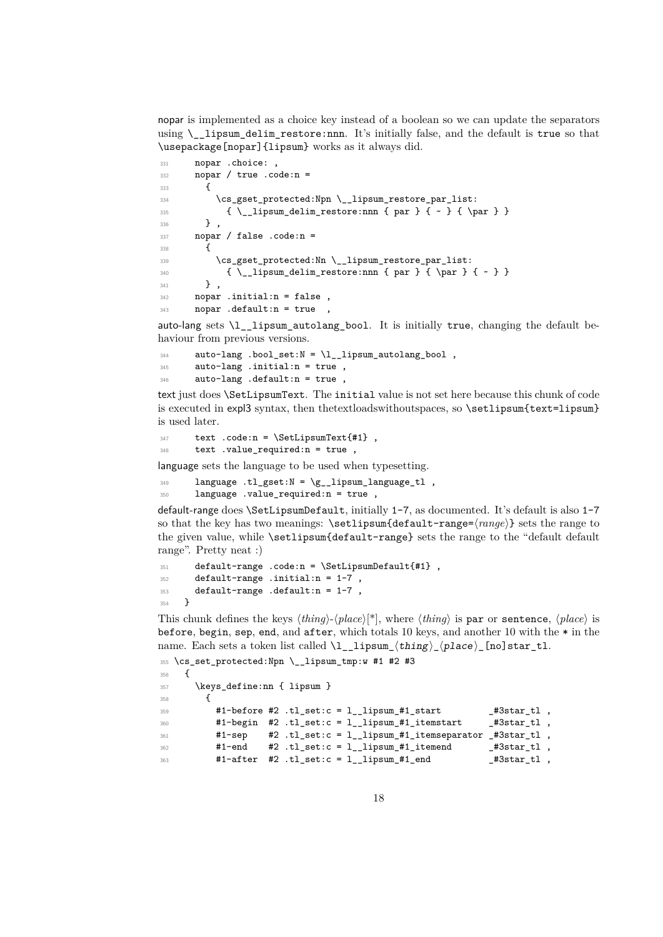nopar is implemented as a choice key instead of a boolean so we can update the separators using \\_\_lipsum\_delim\_restore:nnn. It's initially false, and the default is true so that \usepackage[nopar]{lipsum} works as it always did.

```
331 nopar .choice:
332 nopar / true .code:n =
333 {
334 \cs_gset_protected:Npn \__lipsum_restore_par_list:
335 \{\ \_ \lnot \ \_ \quad \text{delim\_restore:} \ \}336 } ,
337 nopar / false .code:n =
338 {
339 \cs_gset_protected:Nn \_lipsum_restore_par_list:
340 { \_lipsum_delim_restore:nnn { par } { \par } { ~ } }
341 },
342 nopar .initial:n = false ,
343 nopar .default:n = true ,
```
auto-lang sets  $\lceil \cdot \rceil$  lipsum\_autolang\_bool. It is initially true, changing the default behaviour from previous versions.

```
344 auto-lang .bool_set:N = \lceil \frac{1}{2} \rceil autolang_bool,
345 auto-lang .initial:n = true,
346 auto-lang .default:n = true ,
```
text just does \SetLipsumText. The initial value is not set here because this chunk of code is executed in expl3 syntax, then the textloads without spaces, so \setlipsum {text=lipsum} is used later.

```
347 text .code:n = \SetLipsumText{#1},
348 text .value_required:n = true ,
```
language sets the language to be used when typesetting.

349 language .tl\_gset: $N = \{g_-\}$ lipsum\_language\_tl,

```
350 language .value_required:n = true ,
```
default-range does \SetLipsumDefault, initially 1-7, as documented. It's default is also 1-7 so that the key has two meanings: \setlipsum{default-range=⟨*range*⟩} sets the range to the given value, while \setlipsum{default-range} sets the range to the "default default range". Pretty neat :)

```
351 default-range .code:n = \SetLipsumDefault{#1},
352 default-range .initial:n = 1-7,
353 default-range .default:n = 1-7 ,
354 }
```
This chunk defines the keys ⟨*thing*⟩-⟨*place*⟩[\*], where ⟨*thing*⟩ is par or sentence, ⟨*place*⟩ is before, begin, sep, end, and after, which totals 10 keys, and another 10 with the  $*$  in the name. Each sets a token list called  $\lceil \lceil \frac{1}{1} \rceil$  ( $\lceil \frac{1}{2} \rceil$ )  $\lceil \frac{1}{2} \rceil$  ( $\lceil \frac{1}{2} \rceil$ ) star\_tl.

```
355 \cs_set_protected:Npn \__lipsum_tmp:w #1 #2 #3
356 {
357 \keys_define:nn { lipsum }
358 {
359 \#1-before \#2 .tl_set:c = l__lipsum_\#1_start \qquad_#3star_tl ,
360 #1-begin #2 .tl_set:c = l__lipsum_#1_itemstart 43star_tl,
361 #1-sep #2 .tl_set:c = 1_lipsum_#1_itemseparator _#3star_tl ,
362 #1-end #2 .tl_set:c = 1__lipsum_#1_itemend _#3star_tl,
363 #1-after #2 .tl_set:c = 1__lipsum_#1_end 43star_tl ,
```